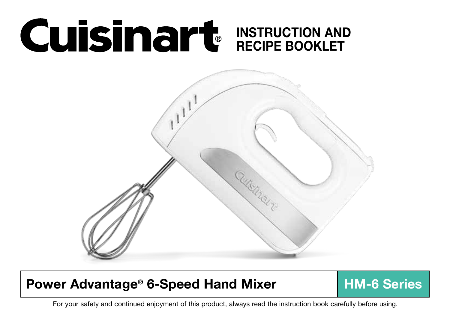# INSTRUCTION AND RECIPE BOOKLET



# Power Advantage® 6-Speed Hand Mixer | HM-6 Series

1 For your safety and continued enjoyment of this product, always read the instruction book carefully before using.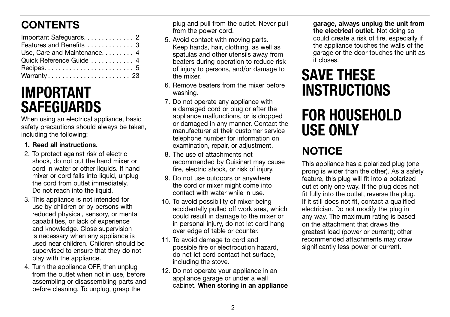# **CONTENTS**

| Important Safeguards. 2      |  |
|------------------------------|--|
| Features and Benefits  3     |  |
| Use, Care and Maintenance. 4 |  |
| Quick Reference Guide  4     |  |
|                              |  |
| Warranty 23                  |  |

# IMPORTANT **SAFEGUARDS**

When using an electrical appliance, basic safety precautions should always be taken, including the following:

### 1. Read all instructions.

- 2. To protect against risk of electric shock, do not put the hand mixer or cord in water or other liquids. If hand mixer or cord falls into liquid, unplug the cord from outlet immediately. Do not reach into the liquid.
- 3. This appliance is not intended for use by children or by persons with reduced physical, sensory, or mental capabilities, or lack of experience and knowledge. Close supervision is necessary when any appliance is used near children. Children should be supervised to ensure that they do not play with the appliance.
- 4. Turn the appliance OFF, then unplug from the outlet when not in use, before assembling or disassembling parts and before cleaning. To unplug, grasp the

plug and pull from the outlet. Never pull from the power cord.

- 5. Avoid contact with moving parts. Keep hands, hair, clothing, as well as spatulas and other utensils away from beaters during operation to reduce risk of injury to persons, and/or damage to the mixer.
- 6. Remove beaters from the mixer before washing.
- 7. Do not operate any appliance with a damaged cord or plug or after the appliance malfunctions, or is dropped or damaged in any manner. Contact the manufacturer at their customer service telephone number for information on examination, repair, or adjustment.
- 8. The use of attachments not recommended by Cuisinart may cause fire, electric shock, or risk of injury.
- 9. Do not use outdoors or anywhere the cord or mixer might come into contact with water while in use.
- 10. To avoid possibility of mixer being accidentally pulled off work area, which could result in damage to the mixer or in personal injury, do not let cord hang over edge of table or counter.
- 11. To avoid damage to cord and possible fire or electrocution hazard, do not let cord contact hot surface, including the stove.
- 12. Do not operate your appliance in an appliance garage or under a wall cabinet. When storing in an appliance

garage, always unplug the unit from the electrical outlet. Not doing so could create a risk of fire, especially if the appliance touches the walls of the garage or the door touches the unit as it closes.

# SAVE THESE **INSTRUCTIONS**

# FOR HOUSEHOLD USE ONLY

# **NOTICE**

This appliance has a polarized plug (one prong is wider than the other). As a safety feature, this plug will fit into a polarized outlet only one way. If the plug does not fit fully into the outlet, reverse the plug. If it still does not fit, contact a qualified electrician. Do not modify the plug in any way. The maximum rating is based on the attachment that draws the greatest load (power or current); other recommended attachments may draw significantly less power or current.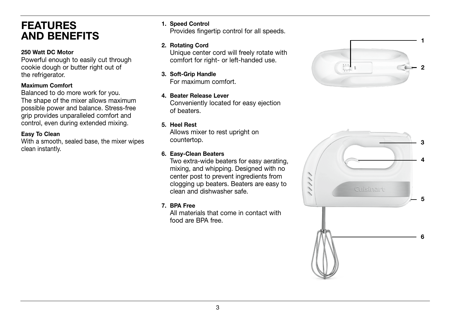# FEATURES AND BENEFITS

### 250 Watt DC Motor

Powerful enough to easily cut through cookie dough or butter right out of the refrigerator.

#### Maximum Comfort

Balanced to do more work for you. The shape of the mixer allows maximum possible power and balance. Stress-free grip provides unparalleled comfort and control, even during extended mixing.

### Easy To Clean

With a smooth, sealed base, the mixer wipes clean instantly.

### 1. Speed Control

Provides fingertip control for all speeds.

#### 2. Rotating Cord

Unique center cord will freely rotate with comfort for right- or left-handed use.

### 3. Soft-Grip Handle

For maximum comfort.

# 4. Beater Release Lever

Conveniently located for easy ejection of beaters.

### 5. Heel Rest

Allows mixer to rest upright on countertop.

### 6. Easy-Clean Beaters

Two extra-wide beaters for easy aerating, mixing, and whipping. Designed with no center post to prevent ingredients from clogging up beaters. Beaters are easy to clean and dishwasher safe.

### 7. BPA Free

All materials that come in contact with food are BPA free.



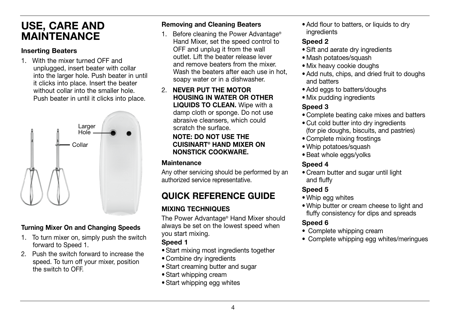# USE, CARE AND **MAINTENANCE**

### Inserting Beaters

1. With the mixer turned OFF and unplugged, insert beater with collar into the larger hole. Push beater in until it clicks into place. Insert the beater without collar into the smaller hole. Push beater in until it clicks into place.



## Turning Mixer On and Changing Speeds

- 1. To turn mixer on, simply push the switch forward to Speed 1.
- 2. Push the switch forward to increase the speed. To turn off your mixer, position the switch to OFF.

## Removing and Cleaning Beaters

- 1. Before cleaning the Power Advantage® Hand Mixer, set the speed control to OFF and unplug it from the wall outlet. Lift the beater release lever and remove beaters from the mixer. Wash the beaters after each use in hot. soapy water or in a dishwasher.
- 2. NEVER PUT THE MOTOR HOUSING IN WATER OR OTHER LIQUIDS TO CLEAN. Wipe with a damp cloth or sponge. Do not use abrasive cleansers, which could scratch the surface.

### NOTE: DO NOT USE THE CUISINART® HAND MIXER ON NONSTICK COOKWARE.

## **Maintenance**

Any other servicing should be performed by an authorized service representative.

# QUICK REFERENCE GUIDE

## MIXING TECHNIQUES

The Power Advantage® Hand Mixer should always be set on the lowest speed when you start mixing.

## Speed 1

- Start mixing most ingredients together
- Combine dry ingredients
- Start creaming butter and sugar
- Start whipping cream
- Start whipping egg whites

• Add flour to batters, or liquids to dry ingredients

## Speed 2

- Sift and aerate dry ingredients
- Mash potatoes/squash
- Mix heavy cookie doughs
- Add nuts, chips, and dried fruit to doughs and batters
- Add eggs to batters/doughs
- Mix pudding ingredients

## Speed 3

- Complete beating cake mixes and batters
- Cut cold butter into dry ingredients (for pie doughs, biscuits, and pastries)
- Complete mixing frostings
- Whip potatoes/squash
- •Beat whole eggs/yolks

## Speed 4

• Cream butter and sugar until light and fluffy

## Speed 5

- Whip egg whites
- Whip butter or cream cheese to light and fluffy consistency for dips and spreads

## Speed 6

- Complete whipping cream
- Complete whipping egg whites/meringues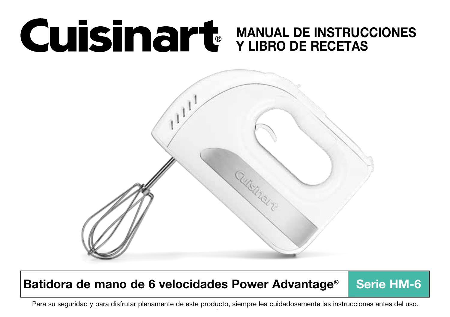# MANUAL DE INSTRUCCIONES Y LIBRO DE RECETAS



# Batidora de mano de 6 velocidades Power Advantage<sup>®</sup> Serie HM-6

1 Para su seguridad y para disfrutar plenamente de este producto, siempre lea cuidadosamente las instrucciones antes del uso.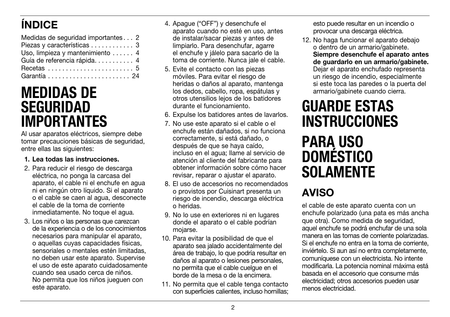# ÍNDICE

| Medidas de seguridad importantes 2 |
|------------------------------------|
| Piezas y características 3         |
| Uso, limpieza y mantenimiento  4   |
| Guía de referencia rápida 4        |
|                                    |
|                                    |

# MEDIDAS DE SEGURIDAD IMPORTANTES

Al usar aparatos eléctricos, siempre debe tomar precauciones básicas de seguridad, entre ellas las siguientes:

### 1. Lea todas las instrucciones.

- 2. Para reducir el riesgo de descarga eléctrica, no ponga la carcasa del aparato, el cable ni el enchufe en agua ni en ningún otro líquido. Si el aparato o el cable se caen al agua, desconecte el cable de la toma de corriente inmediatamente. No toque el agua.
- 3. Los niños o las personas que carezcan de la experiencia o de los conocimientos necesarios para manipular el aparato, o aquellas cuyas capacidades físicas, sensoriales o mentales estén limitadas, no deben usar este aparato. Supervise el uso de este aparato cuidadosamente cuando sea usado cerca de niños. No permita que los niños jueguen con este aparato.
- 4. Apague ("OFF") y desenchufe el aparato cuando no esté en uso, antes de instalar/sacar piezas y antes de limpiarlo. Para desenchufar, agarre el enchufe y jálelo para sacarlo de la toma de corriente. Nunca jale el cable.
- 5. Evite el contacto con las piezas móviles. Para evitar el riesgo de heridas o daños al aparato, mantenga los dedos, cabello, ropa, espátulas y otros utensilios lejos de los batidores durante el funcionamiento.
- 6. Expulse los batidores antes de lavarlos.
- 7. No use este aparato si el cable o el enchufe están dañados, si no funciona correctamente, si está dañado, o después de que se haya caído, incluso en el agua; llame al servicio de atención al cliente del fabricante para obtener información sobre cómo hacer revisar, reparar o ajustar el aparato.
- 8. El uso de accesorios no recomendados o provistos por Cuisinart presenta un riesgo de incendio, descarga eléctrica o heridas.
- 9. No lo use en exteriores ni en lugares donde el aparato o el cable podrían mojarse.
- 10. Para evitar la posibilidad de que el aparato sea jalado accidentalmente del área de trabajo, lo que podría resultar en daños al aparato o lesiones personales, no permita que el cable cuelgue en el borde de la mesa o de la encimera.
- 11. No permita que el cable tenga contacto con superficies calientes, incluso hornillas;

esto puede resultar en un incendio o provocar una descarga eléctrica.

12. No haga funcionar el aparato debajo o dentro de un armario/gabinete. Siempre desenchufe el aparato antes de guardarlo en un armario/gabinete. Dejar el aparato enchufado representa un riesgo de incendio, especialmente si este toca las paredes o la puerta del armario/gabinete cuando cierra.

# GUARDE ESTAS **INSTRUCCIONES** PARA USO DOMÉSTICO **SOLAMENTE**

# AVISO

el cable de este aparato cuenta con un enchufe polarizado (una pata es más ancha que otra). Como medida de seguridad, aquel enchufe se podrá enchufar de una sola manera en las tomas de corriente polarizadas. Si el enchufe no entra en la toma de corriente, inviértelo. Si aun así no entra completamente, comuníquese con un electricista. No intente modificarla. La potencia nominal máxima está basada en el accesorio que consume más electricidad; otros accesorios pueden usar menos electricidad.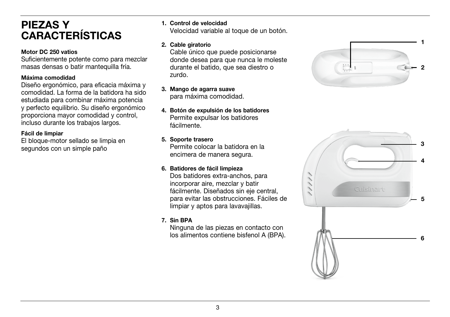# PIEZAS Y CARACTERÍSTICAS

#### Motor DC 250 vatios

Suficientemente potente como para mezclar masas densas o batir mantequilla fría.

#### Máxima comodidad

Diseño ergonómico, para eficacia máxima y comodidad. La forma de la batidora ha sido estudiada para combinar máxima potencia y perfecto equilibrio. Su diseño ergonómico proporciona mayor comodidad y control, incluso durante los trabajos largos.

### Fácil de limpiar

El bloque-motor sellado se limpia en segundos con un simple paño

1. Control de velocidad

Velocidad variable al toque de un botón.

### 2. Cable giratorio

Cable único que puede posicionarse donde desea para que nunca le moleste durante el batido, que sea diestro o zurdo.

- 3. Mango de agarra suave para máxima comodidad.
- 4. Botón de expulsión de los batidores Permite expulsar los batidores fácilmente.

### 5. Soporte trasero

Permite colocar la batidora en la encimera de manera segura.

### 6. Batidores de fácil limpieza

Dos batidores extra-anchos, para incorporar aire, mezclar y batir fácilmente. Diseñados sin eje central, para evitar las obstrucciones. Fáciles de limpiar y aptos para lavavajillas.

### 7. Sin BPA

Ninguna de las piezas en contacto con los alimentos contiene bisfenol A (BPA).



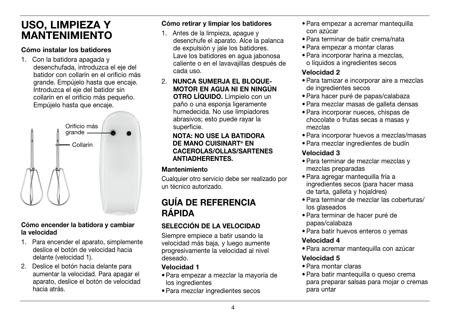# USO, LIMPIEZA Y MANTENIMIENTO

### Cómo instalar los batidores

1. Con la batidora apagada y desenchufada, introduzca el eje del batidor con collarín en el orificio más grande. Empújelo hasta que encaje. Introduzca el eje del batidor sin collarín en el orificio más pequeño. Empújelo hasta que encaje.



### Cómo encender la batidora y cambiar la velocidad

- 1. Para encender el aparato, simplemente deslice el botón de velocidad hacia delante (velocidad 1).
- 2. Deslice el botón hacia delante para aumentar la velocidad. Para apagar el aparato, deslice el botón de velocidad hacia atrás.

### Cómo retirar y limpiar los batidores

- 1. Antes de la limpieza, apague y desenchufe el aparato. Alce la palanca de expulsión y jale los batidores. Lave los batidores en agua jabonosa caliente o en el lavavajillas después de cada uso.
- 2. NUNCA SUMERJA EL BLOQUE-MOTOR EN AGUA NI EN NINGÚN OTRO LÍQUIDO. Límpielo con un paño o una esponja ligeramente humedecida. No use limpiadores abrasivos; esto puede rayar la superficie.

### NOTA: NO USE LA BATIDORA DE MANO CUISINART® EN CACEROLAS/OLLAS/SARTENES ANTIADHERENTES.

## Mantenimiento

Cualquier otro servicio debe ser realizado por un técnico autorizado.

## GUÍA DE REFERENCIA RÁPIDA

## SELECCIÓN DE LA VELOCIDAD

Siempre empiece a batir usando la velocidad más baja, y luego aumente progresivamente la velocidad al nivel deseado.

## Velocidad 1

- Para empezar a mezclar la mayoría de los ingredientes
- Para mezclar ingredientes secos
- Para empezar a acremar mantequilla con azúcar
- Para terminar de batir crema/nata
- Para empezar a montar claras
- Para incorporar harina a mezclas, o líquidos a ingredientes secos

## Velocidad 2

- Para tamizar e incorporar aire a mezclas de ingredientes secos
- Para hacer puré de papas/calabaza
- Para mezclar masas de galleta densas
- Para incorporar nueces, chispas de chocolate o frutas secas a masas y mezclas
- Para incorporar huevos a mezclas/masas
- Para mezclar ingredientes de budín

## Velocidad 3

- Para terminar de mezclar mezclas y mezclas preparadas
- Para agregar mantequilla fría a ingredientes secos (para hacer masa de tarta, galleta y hojaldres)
- Para terminar de mezclar las coberturas/ los glaseados
- Para terminar de hacer puré de papas/calabaza
- Para batir huevos enteros o yemas

## Velocidad 4

• Para acremar mantequilla con azúcar

## Velocidad 5

- Para montar claras
- Para batir mantequilla o queso crema para preparar salsas para mojar o cremas para untar